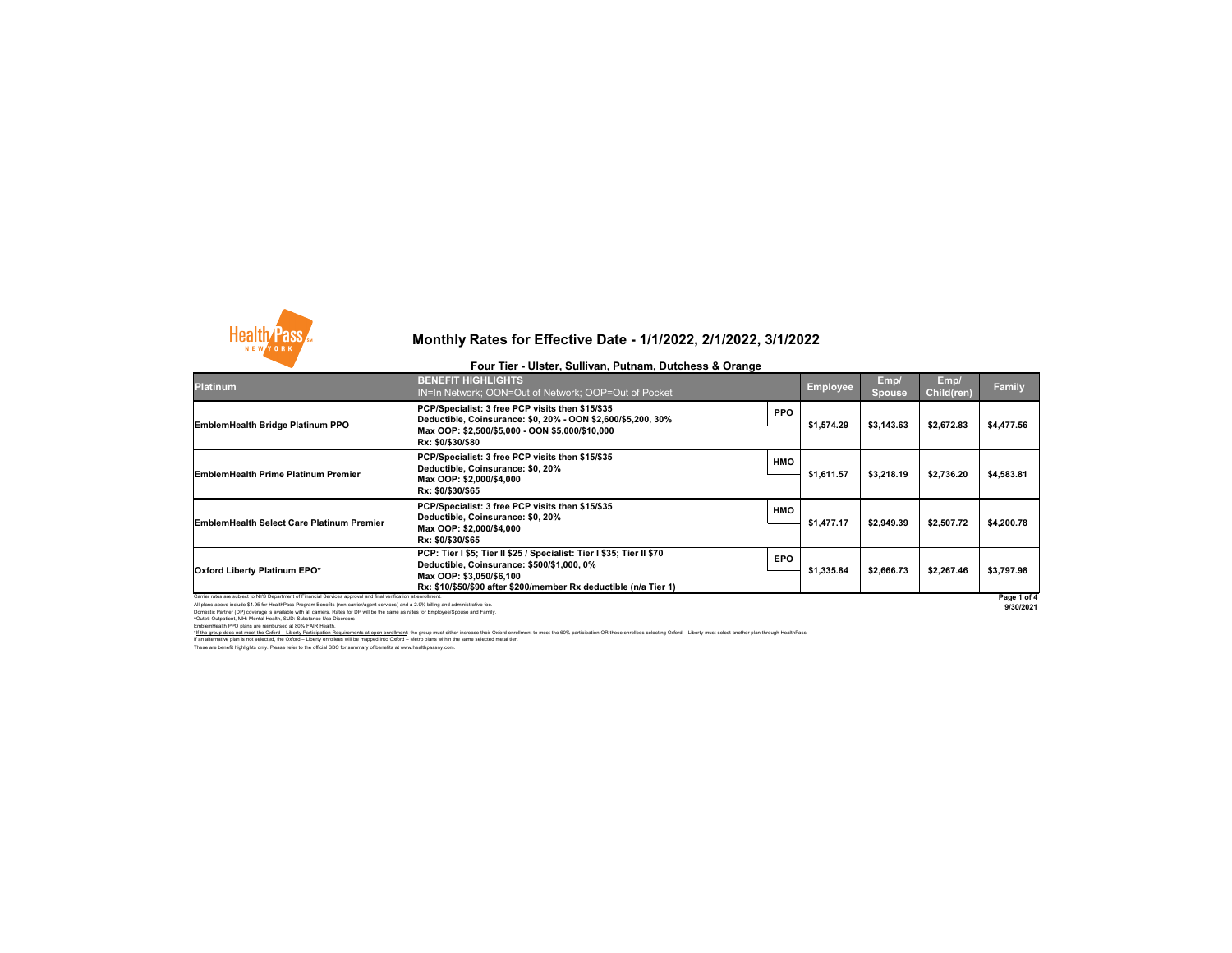All plans above include \$4.95 for HealthPass Program Benefits (non-carrier/agent services) and a 2.9% billing and administrative fee. Domestic Partner (DP) coverage is available with all carriers. Rates for DP will be the same as rates for Employee/Spouse and Family. ^Outpt: Outpatient, MH: Mental Health, SUD: Substance Use Disorders EmblemHealth PPO plans are reimbursed at 80% FAIR Health.

**9/30/2021**

These are benefit highlights only. Please refer to the official SBC for summary of benefits at www.healthpassny.com. \*If the group does not meet the Oxford – Liberty Participation Requirements at open enrollment: the group must either increase their Oxford enrollment to meet the 60% participation OR those enrollees selecting Oxford – Lib If an alternative plan is not selected, the Oxford – Liberty enrollees will be mapped into Oxford – Metro plans within the same selected metal tier.

| <b>Platinum</b>                                                                                                 | <b>BENEFIT HIGHLIGHTS</b><br>IN=In Network; OON=Out of Network; OOP=Out of Pocket                                                                                                                                   |            | Employee   | Emp/<br><b>Spouse</b> | Emp/<br><b>Child(ren)</b> | <b>Family</b> |
|-----------------------------------------------------------------------------------------------------------------|---------------------------------------------------------------------------------------------------------------------------------------------------------------------------------------------------------------------|------------|------------|-----------------------|---------------------------|---------------|
| <b>EmblemHealth Bridge Platinum PPO</b>                                                                         | PCP/Specialist: 3 free PCP visits then \$15/\$35<br>Deductible, Coinsurance: \$0, 20% - OON \$2,600/\$5,200, 30%<br>Max OOP: \$2,500/\$5,000 - OON \$5,000/\$10,000<br>Rx: \$0/\$30/\$80                            | <b>PPO</b> | \$1,574.29 | \$3,143.63            | \$2,672.83                | \$4,477.56    |
| <b>EmblemHealth Prime Platinum Premier</b>                                                                      | PCP/Specialist: 3 free PCP visits then \$15/\$35<br>Deductible, Coinsurance: \$0, 20%<br>Max OOP: \$2,000/\$4,000<br>Rx: \$0/\$30/\$65                                                                              | <b>HMO</b> | \$1,611.57 | \$3,218.19            | \$2,736.20                | \$4,583.81    |
| <b>EmblemHealth Select Care Platinum Premier</b>                                                                | PCP/Specialist: 3 free PCP visits then \$15/\$35<br>Deductible, Coinsurance: \$0, 20%<br>Max OOP: \$2,000/\$4,000<br>Rx: \$0/\$30/\$65                                                                              | <b>HMO</b> | \$1,477.17 | \$2,949.39            | \$2,507.72                | \$4,200.78    |
| <b>Oxford Liberty Platinum EPO*</b>                                                                             | PCP: Tier I \$5; Tier II \$25 / Specialist: Tier I \$35; Tier II \$70<br>Deductible, Coinsurance: \$500/\$1,000, 0%<br>Max OOP: \$3,050/\$6,100<br>Rx: \$10/\$50/\$90 after \$200/member Rx deductible (n/a Tier 1) | <b>EPO</b> | \$1,335.84 | \$2,666.73            | \$2,267.46                | \$3,797.98    |
| Carrier rates are subject to NYS Department of Financial Services approval and final verification at enrollment |                                                                                                                                                                                                                     |            |            |                       | Page 1 of 4               |               |



# **Monthly Rates for Effective Date - 1/1/2022, 2/1/2022, 3/1/2022**

#### **Four Tier - Ulster, Sullivan, Putnam, Dutchess & Orange**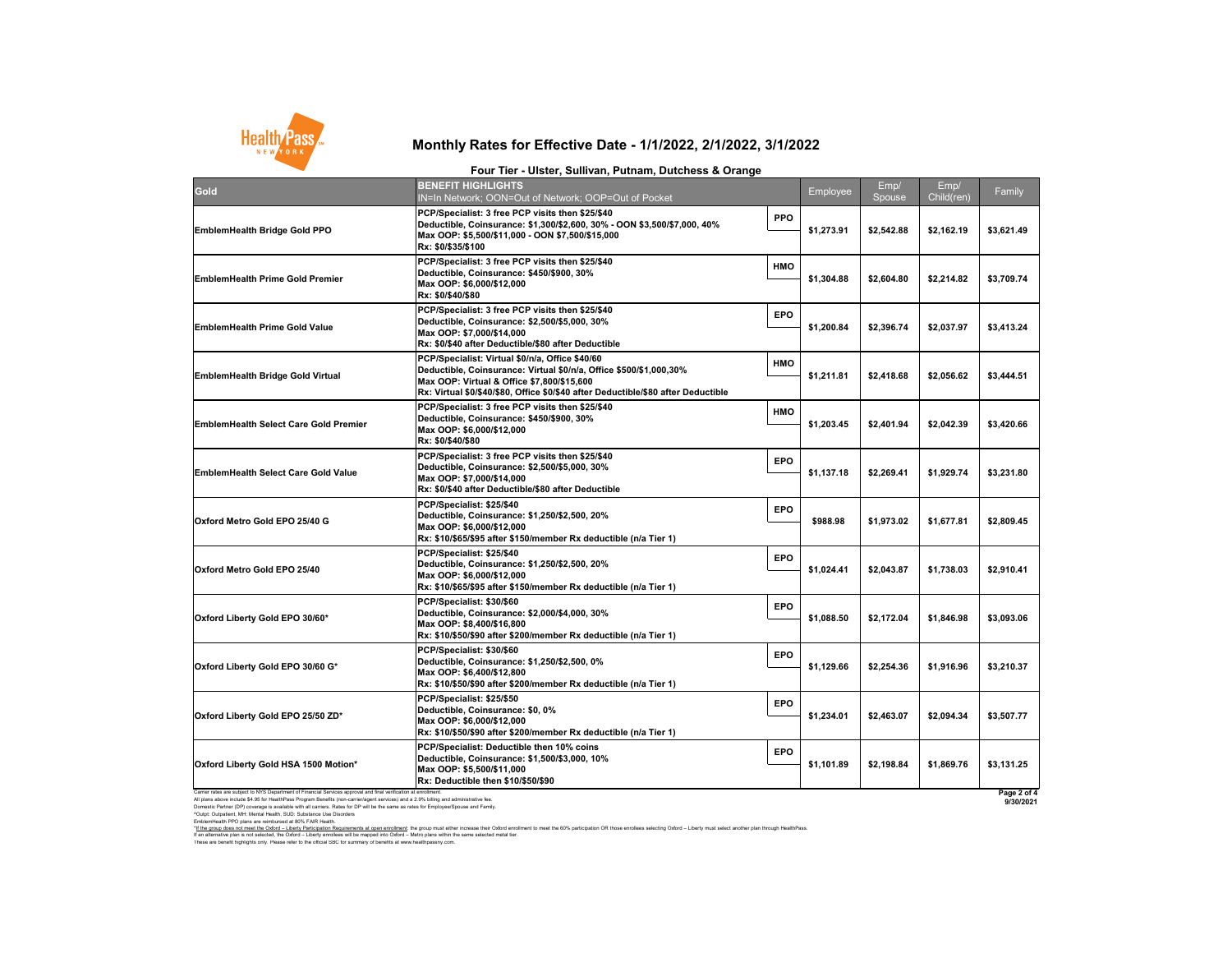All plans above include \$4.95 for HealthPass Program Benefits (non-carrier/agent services) and a 2.9% billing and administrative fee. Domestic Partner (DP) coverage is available with all carriers. Rates for DP will be the same as rates for Employee/Spouse and Family. ^Outpt: Outpatient, MH: Mental Health, SUD: Substance Use Disorders EmblemHealth PPO plans are reimbursed at 80% FAIR Health.



### **Monthly Rates for Effective Date - 1/1/2022, 2/1/2022, 3/1/2022**

#### **Four Tier - Ulster, Sullivan, Putnam, Dutchess & Orange**

**9/30/2021**

These are benefit highlights only. Please refer to the official SBC for summary of benefits at www.healthpassny.com. \*<u>If the group does not meet the Oxford – Liberty Participation Requirements at open enrollment</u>: the group must either increase their Oxford enrollment to meet the 60% participation OR those enrollees selecting Oxford – L If an alternative plan is not selected, the Oxford – Liberty enrollees will be mapped into Oxford – Metro plans within the same selected metal tier.

| <b>Gold</b>                                                                                                                                                                                                                                              | <b>BENEFIT HIGHLIGHTS</b><br>IN=In Network; OON=Out of Network; OOP=Out of Pocket                                                                                                                                                                                 |            | Employee   | Emp/<br>Spouse | Emp/<br>Child(ren) | Family      |
|----------------------------------------------------------------------------------------------------------------------------------------------------------------------------------------------------------------------------------------------------------|-------------------------------------------------------------------------------------------------------------------------------------------------------------------------------------------------------------------------------------------------------------------|------------|------------|----------------|--------------------|-------------|
| <b>EmblemHealth Bridge Gold PPO</b>                                                                                                                                                                                                                      | PCP/Specialist: 3 free PCP visits then \$25/\$40<br> Deductible, Coinsurance: \$1,300/\$2,600, 30% - OON \$3,500/\$7,000, 40%<br>Max OOP: \$5,500/\$11,000 - OON \$7,500/\$15,000<br><b>Rx: \$0/\$35/\$100</b>                                                    | <b>PPO</b> | \$1,273.91 | \$2,542.88     | \$2,162.19         | \$3,621.49  |
| <b>EmblemHealth Prime Gold Premier</b>                                                                                                                                                                                                                   | PCP/Specialist: 3 free PCP visits then \$25/\$40<br>Deductible, Coinsurance: \$450/\$900, 30%<br>Max OOP: \$6,000/\$12,000<br><b>Rx: \$0/\$40/\$80</b>                                                                                                            | <b>HMO</b> | \$1,304.88 | \$2,604.80     | \$2,214.82         | \$3,709.74  |
| <b>EmblemHealth Prime Gold Value</b>                                                                                                                                                                                                                     | <b>PCP/Specialist: 3 free PCP visits then \$25/\$40</b><br>Deductible, Coinsurance: \$2,500/\$5,000, 30%<br>Max OOP: \$7,000/\$14,000<br><b>Rx: \$0/\$40 after Deductible/\$80 after Deductible</b>                                                               | <b>EPO</b> | \$1,200.84 | \$2,396.74     | \$2,037.97         | \$3,413.24  |
| <b>EmblemHealth Bridge Gold Virtual</b>                                                                                                                                                                                                                  | <b>PCP/Specialist: Virtual \$0/n/a, Office \$40/60</b><br> Deductible, Coinsurance: Virtual \$0/n/a, Office \$500/\$1,000,30%<br>Max OOP: Virtual & Office \$7,800/\$15,600<br> Rx: Virtual \$0/\$40/\$80, Office \$0/\$40 after Deductible/\$80 after Deductible | <b>HMO</b> | \$1,211.81 | \$2,418.68     | \$2,056.62         | \$3,444.51  |
| <b>EmblemHealth Select Care Gold Premier</b>                                                                                                                                                                                                             | <b>PCP/Specialist: 3 free PCP visits then \$25/\$40</b><br>Deductible, Coinsurance: \$450/\$900, 30%<br>Max OOP: \$6,000/\$12,000<br><b>Rx: \$0/\$40/\$80</b>                                                                                                     | <b>HMO</b> | \$1,203.45 | \$2,401.94     | \$2,042.39         | \$3,420.66  |
| <b>EmblemHealth Select Care Gold Value</b>                                                                                                                                                                                                               | PCP/Specialist: 3 free PCP visits then \$25/\$40<br>Deductible, Coinsurance: \$2,500/\$5,000, 30%<br>Max OOP: \$7,000/\$14,000<br>Rx: \$0/\$40 after Deductible/\$80 after Deductible                                                                             | <b>EPO</b> | \$1,137.18 | \$2,269.41     | \$1,929.74         | \$3,231.80  |
| Oxford Metro Gold EPO 25/40 G                                                                                                                                                                                                                            | PCP/Specialist: \$25/\$40<br>Deductible, Coinsurance: \$1,250/\$2,500, 20%<br>Max OOP: \$6,000/\$12,000<br> Rx: \$10/\$65/\$95 after \$150/member Rx deductible (n/a Tier 1)                                                                                      | <b>EPO</b> | \$988.98   | \$1,973.02     | \$1,677.81         | \$2,809.45  |
| <b>Oxford Metro Gold EPO 25/40</b>                                                                                                                                                                                                                       | <b>PCP/Specialist: \$25/\$40</b><br>Deductible, Coinsurance: \$1,250/\$2,500, 20%<br>Max OOP: \$6,000/\$12,000<br> Rx: \$10/\$65/\$95 after \$150/member Rx deductible (n/a Tier 1)                                                                               | <b>EPO</b> | \$1,024.41 | \$2,043.87     | \$1,738.03         | \$2,910.41  |
| Oxford Liberty Gold EPO 30/60*                                                                                                                                                                                                                           | PCP/Specialist: \$30/\$60<br>Deductible, Coinsurance: \$2,000/\$4,000, 30%<br>Max OOP: \$8,400/\$16,800<br> Rx: \$10/\$50/\$90 after \$200/member Rx deductible (n/a Tier 1)                                                                                      | <b>EPO</b> | \$1,088.50 | \$2,172.04     | \$1,846.98         | \$3,093.06  |
| Oxford Liberty Gold EPO 30/60 G*                                                                                                                                                                                                                         | PCP/Specialist: \$30/\$60<br>Deductible, Coinsurance: \$1,250/\$2,500, 0%<br>Max OOP: \$6,400/\$12,800<br>Rx: \$10/\$50/\$90 after \$200/member Rx deductible (n/a Tier 1)                                                                                        | <b>EPO</b> | \$1,129.66 | \$2,254.36     | \$1,916.96         | \$3,210.37  |
| Oxford Liberty Gold EPO 25/50 ZD*                                                                                                                                                                                                                        | PCP/Specialist: \$25/\$50<br>Deductible, Coinsurance: \$0, 0%<br>Max OOP: \$6,000/\$12,000<br> Rx: \$10/\$50/\$90 after \$200/member Rx deductible (n/a Tier 1)                                                                                                   | <b>EPO</b> | \$1,234.01 | \$2,463.07     | \$2,094.34         | \$3,507.77  |
| Oxford Liberty Gold HSA 1500 Motion*                                                                                                                                                                                                                     | <b>PCP/Specialist: Deductible then 10% coins</b><br>Deductible, Coinsurance: \$1,500/\$3,000, 10%<br>Max OOP: \$5,500/\$11,000<br><b>Rx: Deductible then \$10/\$50/\$90</b>                                                                                       | <b>EPO</b> | \$1,101.89 | \$2,198.84     | \$1,869.76         | \$3,131.25  |
| Carrier rates are subject to NYS Department of Financial Services approval and final verification at enrollment.<br>All plane above include \$4.05 for HealthPass Program Renefits (pon-carrier/agent services) and a 2.0% billing and administrative fo |                                                                                                                                                                                                                                                                   |            |            |                |                    | Page 2 of 4 |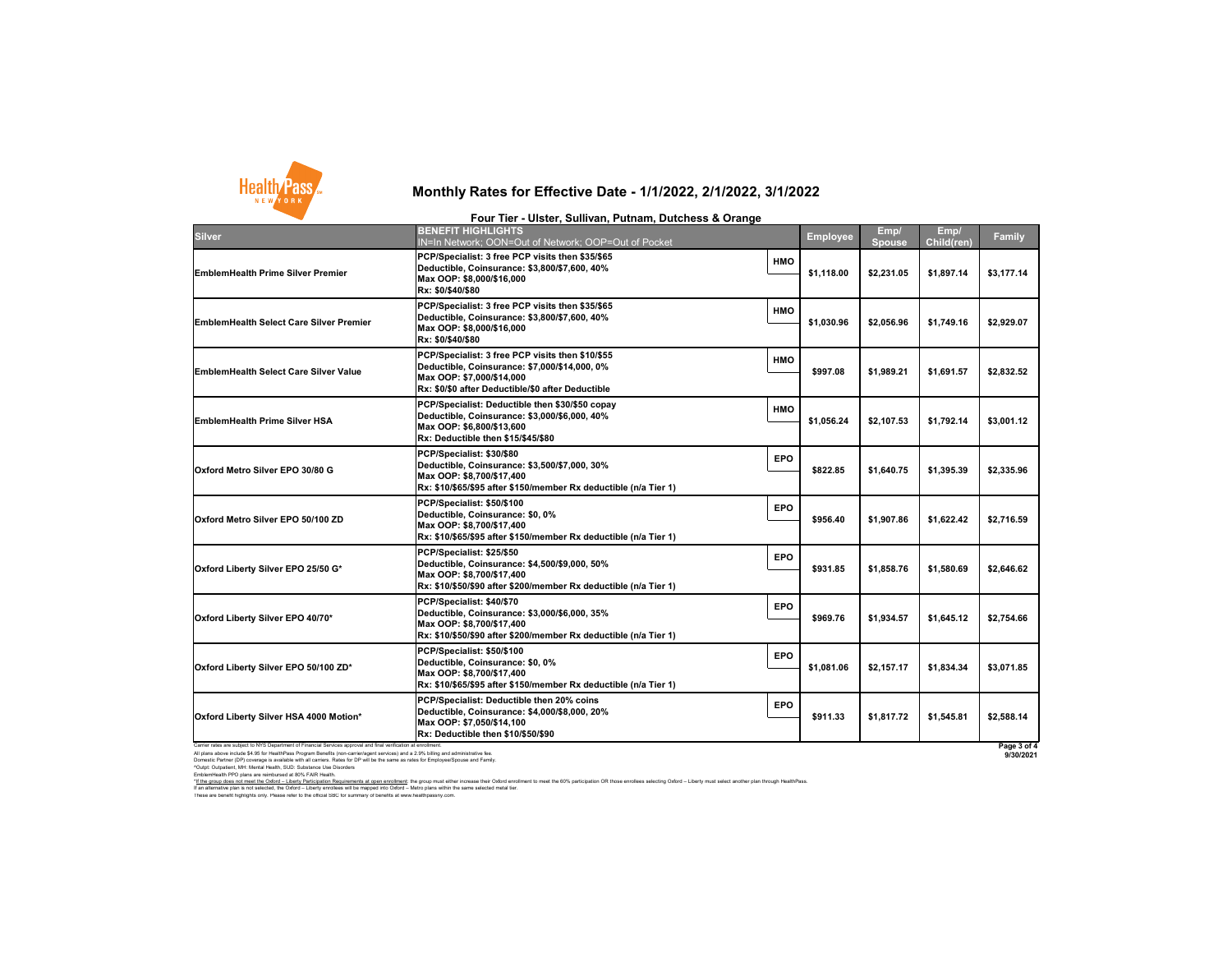| <b>Silver</b>                                                                                                    | <b>BENEFIT HIGHLIGHTS</b><br><b>IN=In Network; OON=O</b>                                                                       |
|------------------------------------------------------------------------------------------------------------------|--------------------------------------------------------------------------------------------------------------------------------|
| <b>EmblemHealth Prime Silver Premier</b>                                                                         | <b>PCP/Specialist: 3 free PC</b><br><b>Deductible, Coinsurance</b><br>Max OOP: \$8,000/\$16,000<br>Rx: \$0/\$40/\$80           |
| <b>EmblemHealth Select Care Silver Premier</b>                                                                   | <b>PCP/Specialist: 3 free PC</b><br><b>Deductible, Coinsurance</b><br>Max OOP: \$8,000/\$16,000<br>Rx: \$0/\$40/\$80           |
| <b>EmblemHealth Select Care Silver Value</b>                                                                     | <b>PCP/Specialist: 3 free PC</b><br><b>Deductible, Coinsurance</b><br>Max OOP: \$7,000/\$14,000<br>Rx: \$0/\$0 after Deductibl |
| <b>EmblemHealth Prime Silver HSA</b>                                                                             | <b>PCP/Specialist: Deductib</b><br><b>Deductible, Coinsurance</b><br>Max OOP: \$6,800/\$13,600<br>Rx: Deductible then \$15/    |
| Oxford Metro Silver EPO 30/80 G                                                                                  | PCP/Specialist: \$30/\$80<br><b>Deductible, Coinsurance</b><br>Max OOP: \$8,700/\$17,400<br>Rx: \$10/\$65/\$95 after \$15      |
| Oxford Metro Silver EPO 50/100 ZD                                                                                | PCP/Specialist: \$50/\$100<br><b>Deductible, Coinsurance</b><br>Max OOP: \$8,700/\$17,400<br>Rx: \$10/\$65/\$95 after \$15     |
| Oxford Liberty Silver EPO 25/50 G*                                                                               | PCP/Specialist: \$25/\$50<br><b>Deductible, Coinsurance</b><br>Max OOP: \$8,700/\$17,400<br>Rx: \$10/\$50/\$90 after \$20      |
| Oxford Liberty Silver EPO 40/70*                                                                                 | PCP/Specialist: \$40/\$70<br><b>Deductible, Coinsurance</b><br>Max OOP: \$8,700/\$17,400<br>Rx: \$10/\$50/\$90 after \$20      |
| Oxford Liberty Silver EPO 50/100 ZD*                                                                             | PCP/Specialist: \$50/\$100<br><b>Deductible, Coinsurance</b><br>Max OOP: \$8,700/\$17,400<br>Rx: \$10/\$65/\$95 after \$15     |
| <b>Oxford Liberty Silver HSA 4000 Motion*</b>                                                                    | <b>PCP/Specialist: Deductib</b><br><b>Deductible, Coinsurance</b><br>Max OOP: \$7,050/\$14,100<br>Rx: Deductible then \$10/    |
| Carrier rates are subject to NYS Department of Financial Services approval and final verification at enrollment. |                                                                                                                                |

All plans above include \$4.95 for HealthPass Program Benefits (non-carrier/agent services) and a 2.9% billing and administrative fee. Domestic Partner (DP) coverage is available with all carriers. Rates for DP will be the same as rates for Employee/Spouse and Family. ^Outpt: Outpatient, MH: Mental Health, SUD: Substance Use Disorders EmblemHealth PPO plans are reimbursed at 80% FAIR Health.

These are benefit highlights only. Please refer to the official SBC for summary of benefits at www.healthpassny.com.

| <b>BENEFIT HIGHLIGHTS</b><br>IN=In Network; OON=Out of Network; OOP=Out of Pocket                                                                                                   |            | <b>Employee</b> | Emp/<br>Spouse | Emp/<br><b>Child(ren)</b> | <b>Family</b>   |
|-------------------------------------------------------------------------------------------------------------------------------------------------------------------------------------|------------|-----------------|----------------|---------------------------|-----------------|
| PCP/Specialist: 3 free PCP visits then \$35/\$65<br>Deductible, Coinsurance: \$3,800/\$7,600, 40%<br>Max OOP: \$8,000/\$16,000<br>Rx: \$0/\$40/\$80                                 | <b>HMO</b> | \$1,118.00      | \$2,231.05     | \$1,897.14                | \$3,177.14      |
| PCP/Specialist: 3 free PCP visits then \$35/\$65<br>Deductible, Coinsurance: \$3,800/\$7,600, 40%<br>Max OOP: \$8,000/\$16,000<br>Rx: \$0/\$40/\$80                                 | <b>HMO</b> | \$1,030.96      | \$2,056.96     | \$1,749.16                | \$2,929.07      |
| PCP/Specialist: 3 free PCP visits then \$10/\$55<br>Deductible, Coinsurance: \$7,000/\$14,000, 0%<br>Max OOP: \$7,000/\$14,000<br>Rx: \$0/\$0 after Deductible/\$0 after Deductible | <b>HMO</b> | \$997.08        | \$1,989.21     | \$1,691.57                | \$2,832.52      |
| PCP/Specialist: Deductible then \$30/\$50 copay<br>Deductible, Coinsurance: \$3,000/\$6,000, 40%<br>Max OOP: \$6,800/\$13,600<br>Rx: Deductible then \$15/\$45/\$80                 | <b>HMO</b> | \$1,056.24      | \$2,107.53     | \$1,792.14                | \$3,001.12      |
| PCP/Specialist: \$30/\$80<br>Deductible, Coinsurance: \$3,500/\$7,000, 30%<br>Max OOP: \$8,700/\$17,400                                                                             | <b>EPO</b> | \$822.85        | \$1,640.75     | \$1,395.39                | \$2,335.96      |
| PCP/Specialist: \$50/\$100<br>Deductible, Coinsurance: \$0, 0%<br>Max OOP: \$8,700/\$17,400                                                                                         | <b>EPO</b> | \$956.40        | \$1,907.86     | \$1,622.42                | \$2,716.59      |
| PCP/Specialist: \$25/\$50<br>Deductible, Coinsurance: \$4,500/\$9,000, 50%<br>Max OOP: \$8,700/\$17,400                                                                             | <b>EPO</b> | \$931.85        | \$1,858.76     | \$1,580.69                | \$2,646.62      |
| PCP/Specialist: \$40/\$70<br>Deductible, Coinsurance: \$3,000/\$6,000, 35%<br>Max OOP: \$8,700/\$17,400                                                                             | <b>EPO</b> | \$969.76        | \$1,934.57     | \$1,645.12                | \$2,754.66      |
| PCP/Specialist: \$50/\$100<br>Deductible, Coinsurance: \$0, 0%<br>Max OOP: \$8,700/\$17,400                                                                                         | <b>EPO</b> | \$1,081.06      | \$2,157.17     | \$1,834.34                | \$3,071.85      |
| PCP/Specialist: Deductible then 20% coins<br>Deductible, Coinsurance: \$4,000/\$8,000, 20%<br>Max OOP: \$7,050/\$14,100<br><b>Rx: Deductible then \$10/\$50/\$90</b>                | <b>EPO</b> | \$911.33        | \$1,817.72     | \$1,545.81                | \$2,588.14      |
| enrollment                                                                                                                                                                          |            |                 |                |                           | Pane $3$ of $4$ |

\*If the group does not meet the Oxford - Liberty Participation Requirements at open enrollment: the group must either increase their Oxford enrollment to meet the 60% participation OR those enrollees selecting Oxford - Lib

**Page 3 of 4 9/30/2021**

If an alternative plan is not selected, the Oxford – Liberty enrollees will be mapped into Oxford – Metro plans within the same selected metal tier.



### **Monthly Rates for Effective Date - 1/1/2022, 2/1/2022, 3/1/2022**

#### **Four Tier - Ulster, Sullivan, Putnam, Dutchess & Orange**